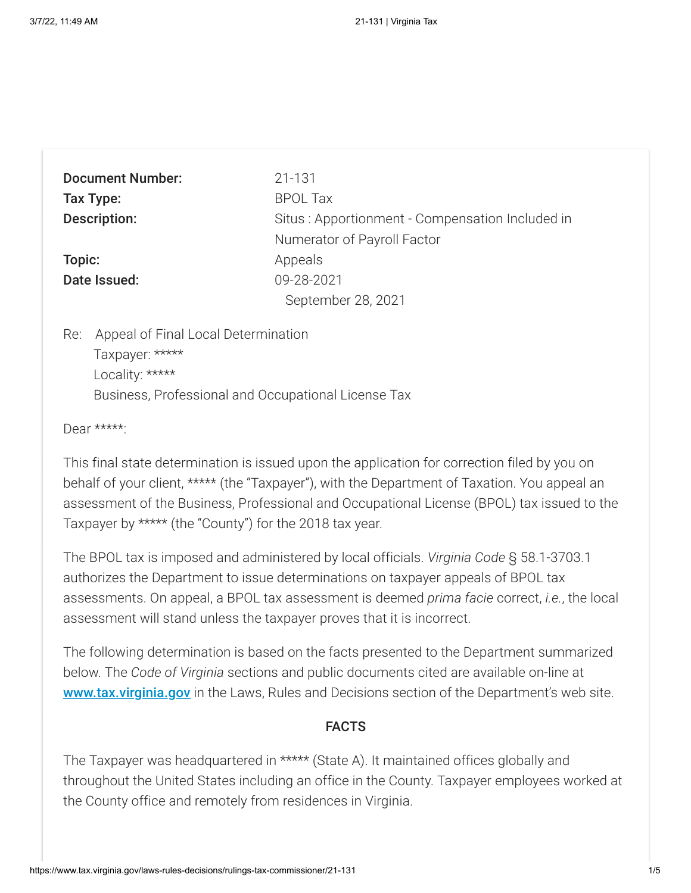| <b>Document Number:</b> | 21-131                                          |
|-------------------------|-------------------------------------------------|
| Tax Type:               | <b>BPOL Tax</b>                                 |
| <b>Description:</b>     | Situs: Apportionment - Compensation Included in |
|                         | Numerator of Payroll Factor                     |
| Topic:                  | Appeals                                         |
| Date Issued:            | 09-28-2021                                      |
|                         | September 28, 2021                              |
|                         |                                                 |

Re: Appeal of Final Local Determination Taxpayer: \*\*\*\*\* Locality: \*\*\*\*\* Business, Professional and Occupational License Tax

Dear \*\*\*\*\*:

This final state determination is issued upon the application for correction filed by you on behalf of your client, \*\*\*\*\* (the "Taxpayer"), with the Department of Taxation. You appeal an assessment of the Business, Professional and Occupational License (BPOL) tax issued to the Taxpayer by \*\*\*\*\* (the "County") for the 2018 tax year.

The BPOL tax is imposed and administered by local officials. *Virginia Code* § 58.1-3703.1 authorizes the Department to issue determinations on taxpayer appeals of BPOL tax assessments. On appeal, a BPOL tax assessment is deemed *prima facie* correct, *i.e.*, the local assessment will stand unless the taxpayer proves that it is incorrect.

The following determination is based on the facts presented to the Department summarized below. The *Code of Virginia* sections and public documents cited are available on-line at **[www.tax.virginia.gov](http://www.tax.virginia.gov/)** in the Laws, Rules and Decisions section of the Department's web site.

### FACTS

The Taxpayer was headquartered in \*\*\*\*\* (State A). It maintained offices globally and throughout the United States including an office in the County. Taxpayer employees worked at the County office and remotely from residences in Virginia.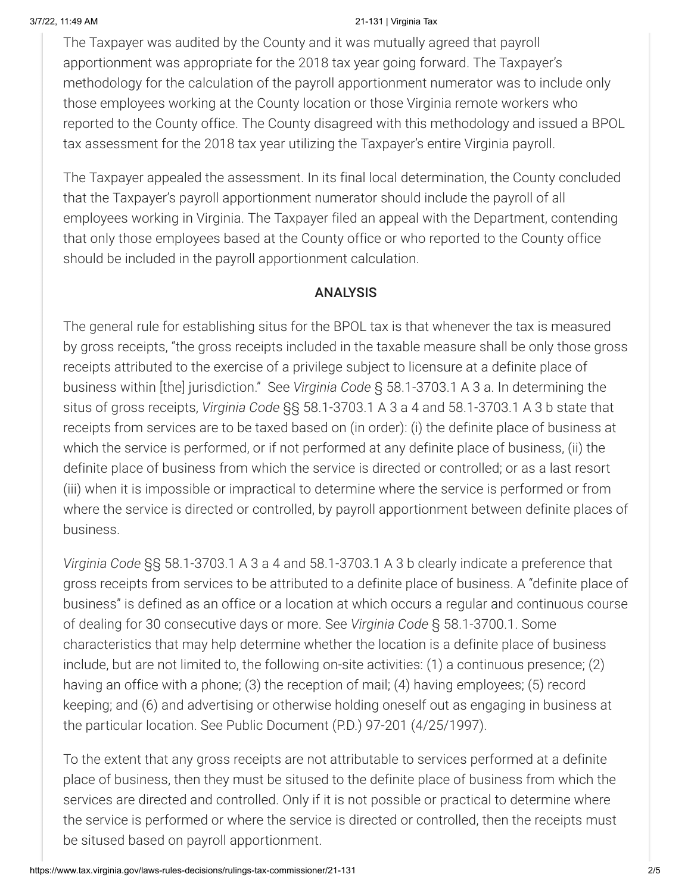#### 3/7/22, 11:49 AM 21-131 | Virginia Tax

The Taxpayer was audited by the County and it was mutually agreed that payroll apportionment was appropriate for the 2018 tax year going forward. The Taxpayer's methodology for the calculation of the payroll apportionment numerator was to include only those employees working at the County location or those Virginia remote workers who reported to the County office. The County disagreed with this methodology and issued a BPOL tax assessment for the 2018 tax year utilizing the Taxpayer's entire Virginia payroll.

The Taxpayer appealed the assessment. In its final local determination, the County concluded that the Taxpayer's payroll apportionment numerator should include the payroll of all employees working in Virginia. The Taxpayer filed an appeal with the Department, contending that only those employees based at the County office or who reported to the County office should be included in the payroll apportionment calculation.

## ANALYSIS

The general rule for establishing situs for the BPOL tax is that whenever the tax is measured by gross receipts, "the gross receipts included in the taxable measure shall be only those gross receipts attributed to the exercise of a privilege subject to licensure at a definite place of business within [the] jurisdiction." See *Virginia Code* § 58.1-3703.1 A 3 a. In determining the situs of gross receipts, *Virginia Code* §§ 58.1-3703.1 A 3 a 4 and 58.1-3703.1 A 3 b state that receipts from services are to be taxed based on (in order): (i) the definite place of business at which the service is performed, or if not performed at any definite place of business, (ii) the definite place of business from which the service is directed or controlled; or as a last resort (iii) when it is impossible or impractical to determine where the service is performed or from where the service is directed or controlled, by payroll apportionment between definite places of business.

*Virginia Code* §§ 58.1-3703.1 A 3 a 4 and 58.1-3703.1 A 3 b clearly indicate a preference that gross receipts from services to be attributed to a definite place of business. A "definite place of business" is defined as an office or a location at which occurs a regular and continuous course of dealing for 30 consecutive days or more. See *Virginia Code* § 58.1-3700.1. Some characteristics that may help determine whether the location is a definite place of business include, but are not limited to, the following on-site activities: (1) a continuous presence; (2) having an office with a phone; (3) the reception of mail; (4) having employees; (5) record keeping; and (6) and advertising or otherwise holding oneself out as engaging in business at the particular location. See Public Document (P.D.) 97-201 (4/25/1997).

To the extent that any gross receipts are not attributable to services performed at a definite place of business, then they must be sitused to the definite place of business from which the services are directed and controlled. Only if it is not possible or practical to determine where the service is performed or where the service is directed or controlled, then the receipts must be sitused based on payroll apportionment.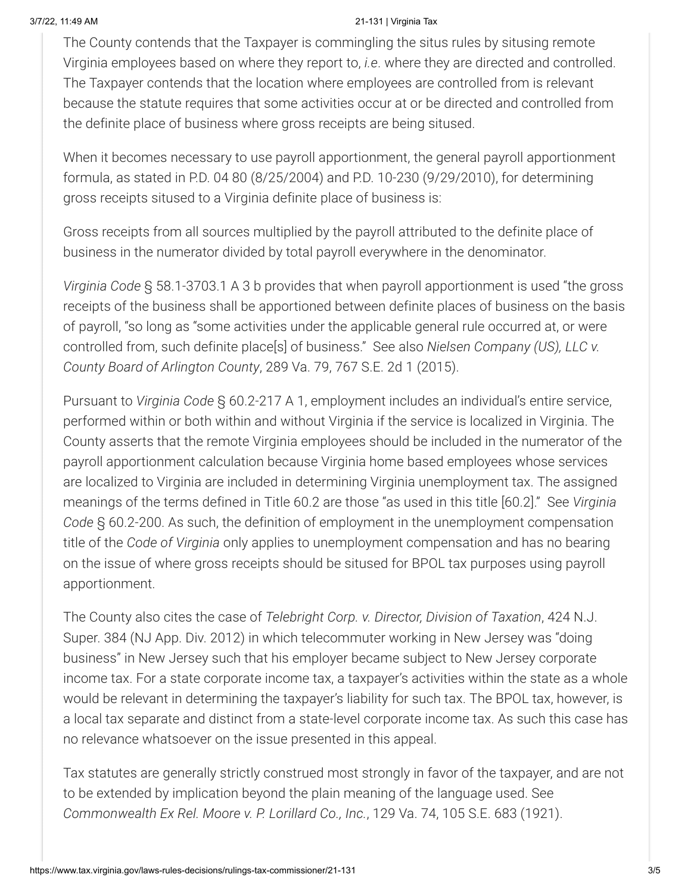#### 3/7/22, 11:49 AM 21-131 | Virginia Tax

The County contends that the Taxpayer is commingling the situs rules by situsing remote Virginia employees based on where they report to, *i.e*. where they are directed and controlled. The Taxpayer contends that the location where employees are controlled from is relevant because the statute requires that some activities occur at or be directed and controlled from the definite place of business where gross receipts are being sitused.

When it becomes necessary to use payroll apportionment, the general payroll apportionment formula, as stated in P.D. 04 80 (8/25/2004) and P.D. 10-230 (9/29/2010), for determining gross receipts sitused to a Virginia definite place of business is:

Gross receipts from all sources multiplied by the payroll attributed to the definite place of business in the numerator divided by total payroll everywhere in the denominator.

*Virginia Code* § 58.1-3703.1 A 3 b provides that when payroll apportionment is used "the gross receipts of the business shall be apportioned between definite places of business on the basis of payroll, "so long as "some activities under the applicable general rule occurred at, or were controlled from, such definite place[s] of business." See also *Nielsen Company (US), LLC v. County Board of Arlington County*, 289 Va. 79, 767 S.E. 2d 1 (2015).

Pursuant to *Virginia Code* § 60.2-217 A 1, employment includes an individual's entire service, performed within or both within and without Virginia if the service is localized in Virginia. The County asserts that the remote Virginia employees should be included in the numerator of the payroll apportionment calculation because Virginia home based employees whose services are localized to Virginia are included in determining Virginia unemployment tax. The assigned meanings of the terms defined in Title 60.2 are those "as used in this title [60.2]." See *Virginia Code* § 60.2-200. As such, the definition of employment in the unemployment compensation title of the *Code of Virginia* only applies to unemployment compensation and has no bearing on the issue of where gross receipts should be sitused for BPOL tax purposes using payroll apportionment.

The County also cites the case of *Telebright Corp. v. Director, Division of Taxation*, 424 N.J. Super. 384 (NJ App. Div. 2012) in which telecommuter working in New Jersey was "doing business" in New Jersey such that his employer became subject to New Jersey corporate income tax. For a state corporate income tax, a taxpayer's activities within the state as a whole would be relevant in determining the taxpayer's liability for such tax. The BPOL tax, however, is a local tax separate and distinct from a state-level corporate income tax. As such this case has no relevance whatsoever on the issue presented in this appeal.

Tax statutes are generally strictly construed most strongly in favor of the taxpayer, and are not to be extended by implication beyond the plain meaning of the language used. See *Commonwealth Ex Rel. Moore v. P. Lorillard Co., Inc.*, 129 Va. 74, 105 S.E. 683 (1921).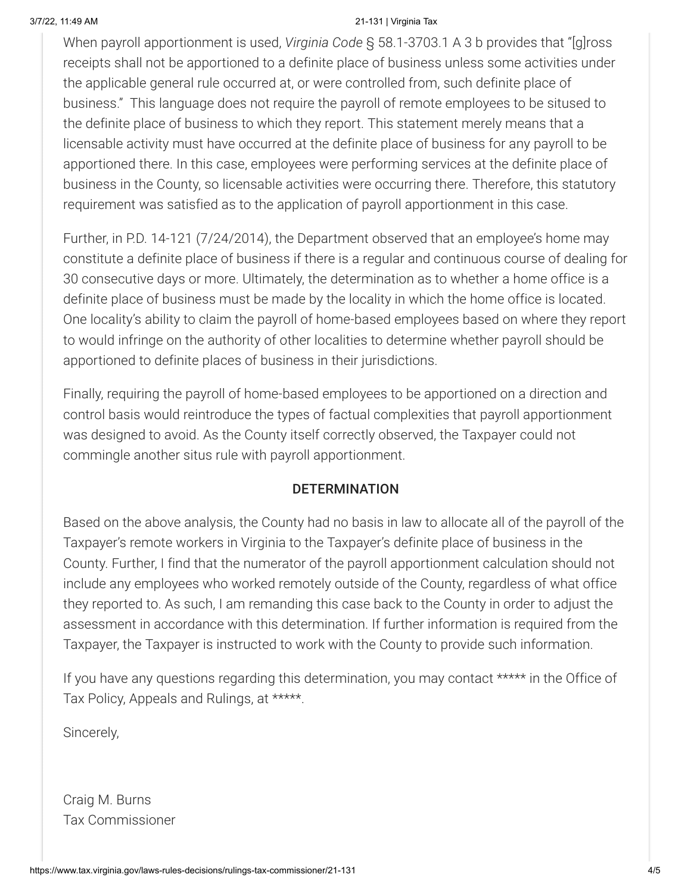#### 3/7/22, 11:49 AM 21-131 | Virginia Tax

When payroll apportionment is used, *Virginia Code* § 58.1-3703.1 A 3 b provides that "[g]ross receipts shall not be apportioned to a definite place of business unless some activities under the applicable general rule occurred at, or were controlled from, such definite place of business." This language does not require the payroll of remote employees to be sitused to the definite place of business to which they report. This statement merely means that a licensable activity must have occurred at the definite place of business for any payroll to be apportioned there. In this case, employees were performing services at the definite place of business in the County, so licensable activities were occurring there. Therefore, this statutory requirement was satisfied as to the application of payroll apportionment in this case.

Further, in P.D. 14-121 (7/24/2014), the Department observed that an employee's home may constitute a definite place of business if there is a regular and continuous course of dealing for 30 consecutive days or more. Ultimately, the determination as to whether a home office is a definite place of business must be made by the locality in which the home office is located. One locality's ability to claim the payroll of home-based employees based on where they report to would infringe on the authority of other localities to determine whether payroll should be apportioned to definite places of business in their jurisdictions.

Finally, requiring the payroll of home-based employees to be apportioned on a direction and control basis would reintroduce the types of factual complexities that payroll apportionment was designed to avoid. As the County itself correctly observed, the Taxpayer could not commingle another situs rule with payroll apportionment.

## **DETERMINATION**

Based on the above analysis, the County had no basis in law to allocate all of the payroll of the Taxpayer's remote workers in Virginia to the Taxpayer's definite place of business in the County. Further, I find that the numerator of the payroll apportionment calculation should not include any employees who worked remotely outside of the County, regardless of what office they reported to. As such, I am remanding this case back to the County in order to adjust the assessment in accordance with this determination. If further information is required from the Taxpayer, the Taxpayer is instructed to work with the County to provide such information.

If you have any questions regarding this determination, you may contact \*\*\*\*\* in the Office of Tax Policy, Appeals and Rulings, at \*\*\*\*\*.

Sincerely,

Craig M. Burns Tax Commissioner